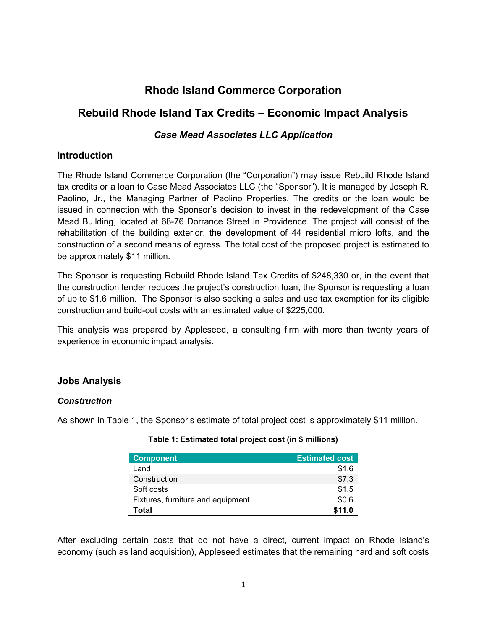# Rhode Island Commerce Corporation

## Rebuild Rhode Island Tax Credits – Economic Impact Analysis

## Case Mead Associates LLC Application

### **Introduction**

The Rhode Island Commerce Corporation (the "Corporation") may issue Rebuild Rhode Island tax credits or a loan to Case Mead Associates LLC (the "Sponsor"). It is managed by Joseph R. Paolino, Jr., the Managing Partner of Paolino Properties. The credits or the loan would be issued in connection with the Sponsor's decision to invest in the redevelopment of the Case Mead Building, located at 68-76 Dorrance Street in Providence. The project will consist of the rehabilitation of the building exterior, the development of 44 residential micro lofts, and the construction of a second means of egress. The total cost of the proposed project is estimated to be approximately \$11 million.

The Sponsor is requesting Rebuild Rhode Island Tax Credits of \$248,330 or, in the event that the construction lender reduces the project's construction loan, the Sponsor is requesting a loan of up to \$1.6 million. The Sponsor is also seeking a sales and use tax exemption for its eligible construction and build-out costs with an estimated value of \$225,000.

This analysis was prepared by Appleseed, a consulting firm with more than twenty years of experience in economic impact analysis.

## Jobs Analysis

#### **Construction**

As shown in Table 1, the Sponsor's estimate of total project cost is approximately \$11 million.

| <b>Component</b>                  | <b>Estimated cost</b> |
|-----------------------------------|-----------------------|
| Land                              | \$1.6                 |
| Construction                      | \$7.3                 |
| Soft costs                        | \$1.5                 |
| Fixtures, furniture and equipment | \$0.6                 |
| Total                             | \$11.0                |

#### Table 1: Estimated total project cost (in \$ millions)

After excluding certain costs that do not have a direct, current impact on Rhode Island's economy (such as land acquisition), Appleseed estimates that the remaining hard and soft costs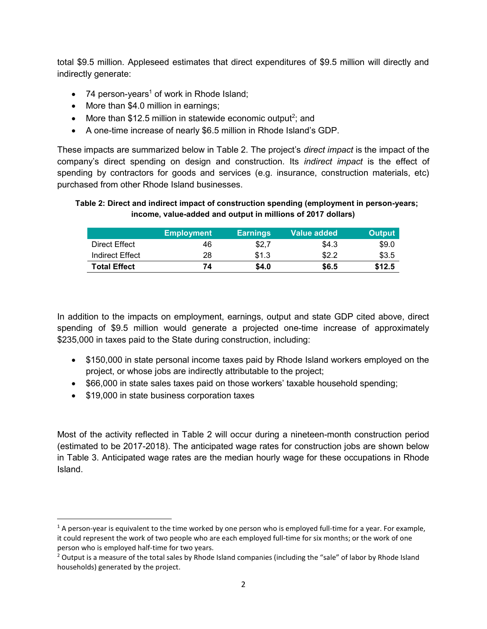total \$9.5 million. Appleseed estimates that direct expenditures of \$9.5 million will directly and indirectly generate:

- 74 person-years<sup>1</sup> of work in Rhode Island;
- More than \$4.0 million in earnings;
- More than \$12.5 million in statewide economic output<sup>2</sup>; and
- A one-time increase of nearly \$6.5 million in Rhode Island's GDP.

These impacts are summarized below in Table 2. The project's *direct impact* is the impact of the company's direct spending on design and construction. Its indirect impact is the effect of spending by contractors for goods and services (e.g. insurance, construction materials, etc) purchased from other Rhode Island businesses.

#### Table 2: Direct and indirect impact of construction spending (employment in person-years; income, value-added and output in millions of 2017 dollars)

|                     | <b>Employment</b> | <b>Earnings</b> | <b>Value added</b> . | <b>Output</b> |
|---------------------|-------------------|-----------------|----------------------|---------------|
| Direct Effect       | 46                | \$2,7           | \$4.3                | \$9.0         |
| Indirect Effect     | 28                | \$1.3           | \$2.2                | \$3.5         |
| <b>Total Effect</b> | 74                | \$4.0           | \$6.5                | \$12.5        |

In addition to the impacts on employment, earnings, output and state GDP cited above, direct spending of \$9.5 million would generate a projected one-time increase of approximately \$235,000 in taxes paid to the State during construction, including:

- \$150,000 in state personal income taxes paid by Rhode Island workers employed on the project, or whose jobs are indirectly attributable to the project;
- \$66,000 in state sales taxes paid on those workers' taxable household spending;
- \$19,000 in state business corporation taxes

Most of the activity reflected in Table 2 will occur during a nineteen-month construction period (estimated to be 2017-2018). The anticipated wage rates for construction jobs are shown below in Table 3. Anticipated wage rates are the median hourly wage for these occupations in Rhode Island.

 $1$  A person-year is equivalent to the time worked by one person who is employed full-time for a year. For example, it could represent the work of two people who are each employed full-time for six months; or the work of one person who is employed half-time for two years.

<sup>&</sup>lt;sup>2</sup> Output is a measure of the total sales by Rhode Island companies (including the "sale" of labor by Rhode Island households) generated by the project.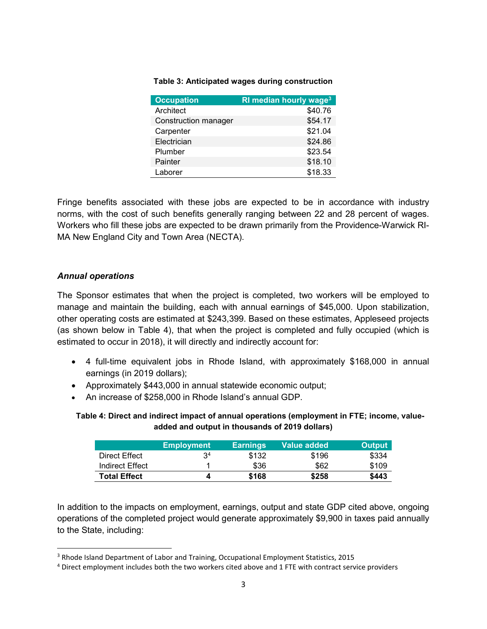#### Table 3: Anticipated wages during construction

| <b>Occupation</b>    | RI median hourly wage <sup>3</sup> |
|----------------------|------------------------------------|
| Architect            | \$40.76                            |
| Construction manager | \$54.17                            |
| Carpenter            | \$21.04                            |
| Electrician          | \$24.86                            |
| Plumber              | \$23.54                            |
| Painter              | \$18.10                            |
| Laborer              | \$18.33                            |

Fringe benefits associated with these jobs are expected to be in accordance with industry norms, with the cost of such benefits generally ranging between 22 and 28 percent of wages. Workers who fill these jobs are expected to be drawn primarily from the Providence-Warwick RI-MA New England City and Town Area (NECTA).

#### Annual operations

The Sponsor estimates that when the project is completed, two workers will be employed to manage and maintain the building, each with annual earnings of \$45,000. Upon stabilization, other operating costs are estimated at \$243,399. Based on these estimates, Appleseed projects (as shown below in Table 4), that when the project is completed and fully occupied (which is estimated to occur in 2018), it will directly and indirectly account for:

- 4 full-time equivalent jobs in Rhode Island, with approximately \$168,000 in annual earnings (in 2019 dollars);
- Approximately \$443,000 in annual statewide economic output;
- An increase of \$258,000 in Rhode Island's annual GDP.

Table 4: Direct and indirect impact of annual operations (employment in FTE; income, valueadded and output in thousands of 2019 dollars)

|                     | <b>Employment</b> | <b>Earnings</b> | Value added | <b>Output</b> |
|---------------------|-------------------|-----------------|-------------|---------------|
| Direct Effect       | ٩4                | \$132           | \$196       | \$334         |
| Indirect Effect     |                   | \$36            | \$62        | \$109         |
| <b>Total Effect</b> |                   | \$168           | \$258       | \$443         |

In addition to the impacts on employment, earnings, output and state GDP cited above, ongoing operations of the completed project would generate approximately \$9,900 in taxes paid annually to the State, including:

<sup>&</sup>lt;sup>3</sup> Rhode Island Department of Labor and Training, Occupational Employment Statistics, 2015

<sup>&</sup>lt;sup>4</sup> Direct employment includes both the two workers cited above and 1 FTE with contract service providers